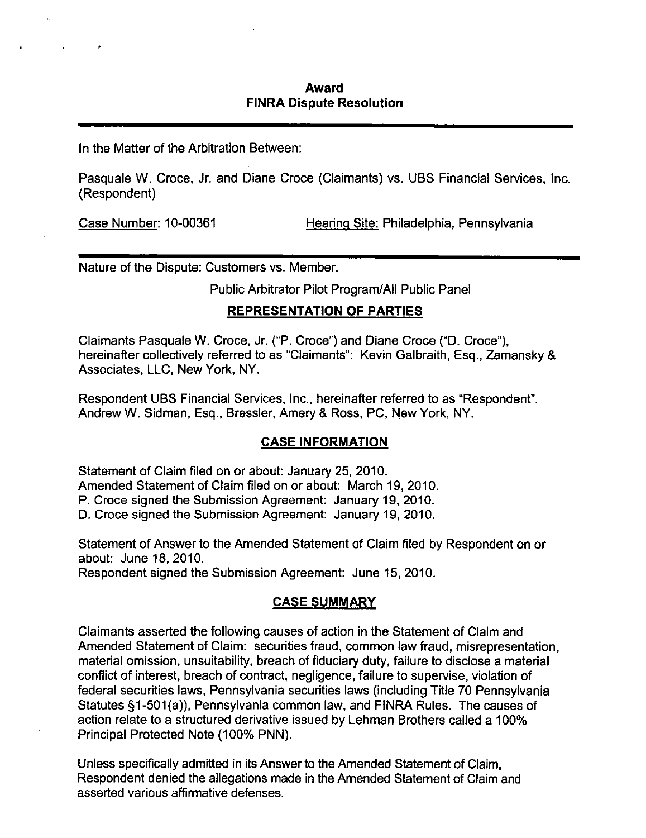## **Award FINRA Dispute Resolution**

In the Matter of the Arbitration Between:

Pasquale W. Croce, Jr. and Diane Croce (Claimants) vs. UBS Financial Services, Inc. (Respondent)

Case Number: 10-00361 Hearing Site: Philadelphia. Pennsylvania

Nature of the Dispute: Customers vs. Member.

**Public Arbitrator Pilot Program/All Public Panel** 

## **REPRESENTATION OF PARTIES**

Claimants Pasquale W. Croce, Jr. ("P. Croce") and Diane Croce ("D. Croce"), hereinafter collectively referred to as "Claimants": Kevin Galbraith, Esq.. Zamansky & Associates. LLC. New York. NY.

Respondent UBS Financial Services, Inc.. hereinafter referred to as "Respondent"; Andrew W. Sidman. Esq., Bressler, Amery & Ross, PC, New York, NY.

## **CASE INFORMATION**

Statement of Claim filed on or about: January 25, 2010.

Amended Statement of Claim filed on or about: March 19, 2010.

P. Croce signed the Submission Agreement: January 19, 2010.

D. Croce signed the Submission Agreement: January 19, 2010.

Statement of Answer to the Amended Statement of Claim filed by Respondent on or about: June 18, 2010.

Respondent signed the Submission Agreement: June 15, 2010.

## **CASE SUMMARY**

Claimants asserted the following causes of action in the Statement of Claim and Amended Statement of Claim: securities fraud, common law fraud, misrepresentation, material omission, unsuitability, breach of fiduciary duty, failure to disclose a material conflict of interest, breach of contract, negligence, failure to supervise, violation of federal securities laws, Pennsylvania securities laws (including Titie 70 Pennsylvania Statutes §1-501(a)), Pennsylvania common law, and FINRA Rules. The causes of action relate to a structured derivative issued by Lehman Brothers called a 100% Principal Protected Note (100% PNN).

Unless specifically admitted in its Answer to the Amended Statement of Claim, Respondent denied the allegations made in the Amended Statement of Claim and asserted various affirmative defenses.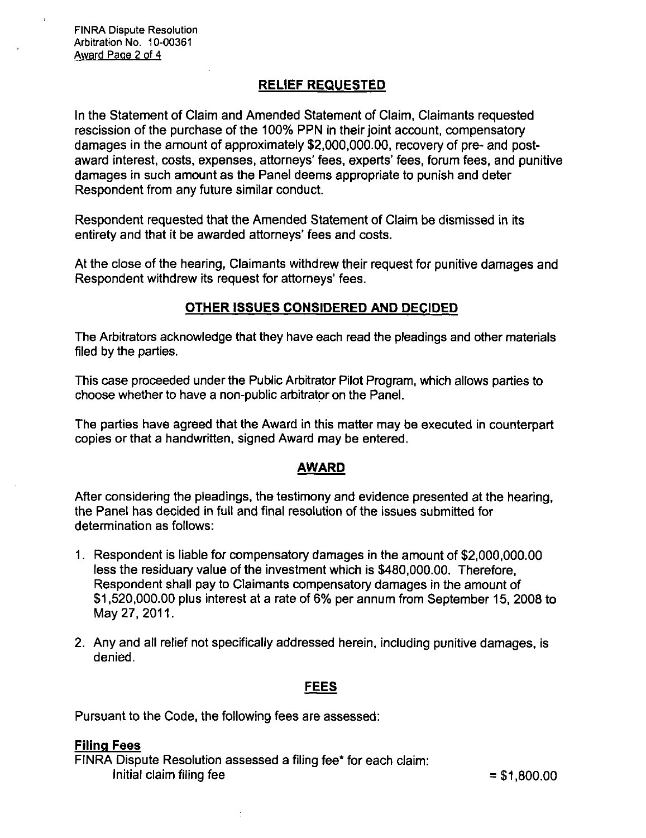### **RELIEF REQUESTED**

In the Statement of Claim and Amended Statement of Claim, Claimants requested rescission of the purchase of the 100% PPN in their joint account, compensatory damages in the amount of approximately \$2,000,000.00, recovery of pre- and postaward interest, costs, expenses, attorneys' fees, experts' fees, forum fees, and punitive damages in such amount as the Panel deems appropriate to punish and deter Respondent from any future similar conduct

Respondent requested that the Amended Statement of Claim be dismissed in its entirety and that it be awarded attorneys' fees and costs.

At the close of the hearing. Claimants withdrew their request for punitive damages and Respondent withdrew its request for attorneys' fees.

### **OTHER ISSUES CONSIDERED AND DECIDED**

The Arbitrators acknowledge that they have each read the pleadings and other materials filed by the parties.

This case proceeded under the Public Arbitrator Pilot Program, which allows parties to choose whether to have a non-public arbitrator on the Panel.

The parties have agreed that the Award in this matter may be executed in counterpart copies or that a handwritten, signed Award may be entered.

#### **AWARD**

After considering the pleadings, the testimony and evidence presented at the hearing, the Panel has decided in full and final resolution of the issues submitted for determination as follows:

- 1. Respondent is liable for compensatory damages in the amount of \$2,000,000.00 less the residuary value of the investment which is \$480,000.00. Therefore. Respondent shall pay to Claimants compensatory damages in the amount of \$1.520,000.00 plus interest at a rate of 6% per annum from September 15. 2008 to May 27,2011.
- 2. Any and all relief not specifically addressed herein, including punitive damages, is denied.

### **FEES**

Pursuant to the Code, the following fees are assessed:

#### Filing Fees

FINRA Dispute Resolution assessed a filing fee\* for each claim: Initial claim filing fee  $= $1,800.00$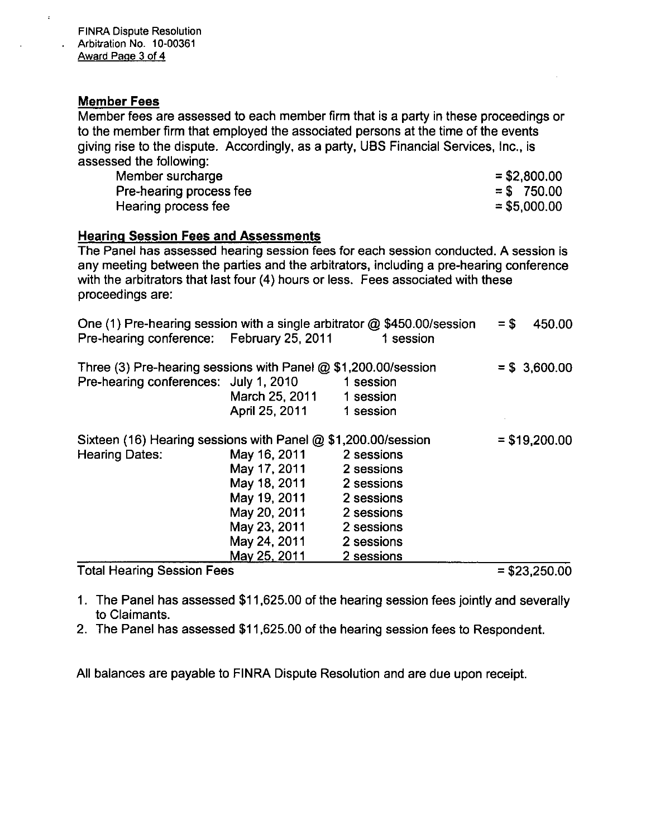### **Member Fees**

 $\bar{z}$ 

Member fees are assessed to each member firm that is a party in these proceedings or to the member firm that employed the associated persons at the time of the events giving rise to the dispute. Accordingly, as a party, UBS Financial Services, Inc., is assessed the following:

| Member surcharge        | $=$ \$2,800.00 |
|-------------------------|----------------|
| Pre-hearing process fee | $=$ \$750.00   |
| Hearing process fee     | $= $5,000.00$  |

#### **Hearing Session Fees and Assessments**

The Panel has assessed hearing session fees for each session conducted. A session is any meeting between the parties and the arbitrators, including a pre-hearing conference with the arbitrators that last four (4) hours or less. Fees associated with these proceedings are:

| One (1) Pre-hearing session with a single arbitrator $@$ \$450.00/session |                |                | $=$ \$<br>450.00                                                                                                  |
|---------------------------------------------------------------------------|----------------|----------------|-------------------------------------------------------------------------------------------------------------------|
| Pre-hearing conference: February 25, 2011                                 |                | 1 session      |                                                                                                                   |
| Three (3) Pre-hearing sessions with Panel $@$ \$1,200.00/session          |                |                | $= $3,600.00$                                                                                                     |
| Pre-hearing conferences: July 1, 2010                                     |                | 1 session      |                                                                                                                   |
|                                                                           | March 25, 2011 | 1 session      |                                                                                                                   |
|                                                                           | April 25, 2011 | 1 session      |                                                                                                                   |
| Sixteen (16) Hearing sessions with Panel @ \$1,200.00/session             |                | $= $19,200.00$ |                                                                                                                   |
| <b>Hearing Dates:</b>                                                     | May 16, 2011   | 2 sessions     |                                                                                                                   |
|                                                                           | May 17, 2011   | 2 sessions     |                                                                                                                   |
|                                                                           | May 18, 2011   | 2 sessions     |                                                                                                                   |
|                                                                           | May 19, 2011   | 2 sessions     |                                                                                                                   |
|                                                                           | May 20, 2011   | 2 sessions     |                                                                                                                   |
|                                                                           | May 23, 2011   | 2 sessions     |                                                                                                                   |
|                                                                           | May 24, 2011   | 2 sessions     |                                                                                                                   |
|                                                                           | May 25, 2011   | 2 sessions     |                                                                                                                   |
|                                                                           |                |                | $\begin{array}{c} \hline \textbf{A} & \textbf{A} & \textbf{A} & \textbf{A} & \textbf{A} & \textbf{A} \end{array}$ |

Total Hearing Session Fees = \$23,250.00

- 1. The Panel has assessed \$11,625.00 of the hearing session fees jointiy and severally to Claimants.
- 2. The Panel has assessed \$11,625.00 of the hearing session fees to Respondent.

All balances are payable to FINRA Dispute Resolution and are due upon receipt.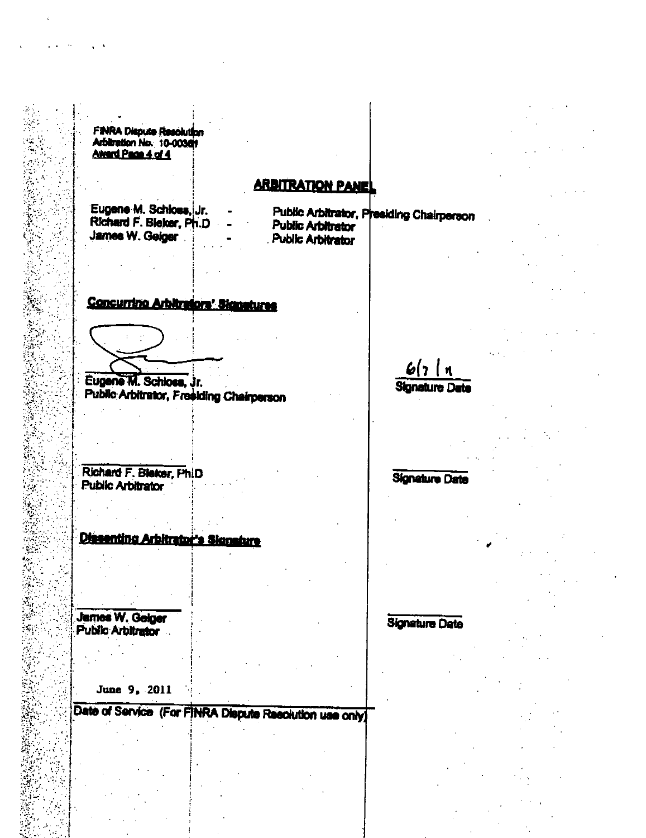**FINRA Dispute Resolution** Arbitration No. 10-00361 Averd Page 4 of 4

# **ARBITRATION PANE**

Eugene M. Schloss, Jr. Richard F. Bleker, Ph.D. James W. Geiger

Public Arbitrator, Presiding Chairperson **Public Arbitrator** Public Arbitrator

## Concurrino Arbitratore' Signatures

Eugene M. Schloss, Jr. **Public Arbitrator, Fresiding Chairperson** 

Richard F. Bleker, PhiD **Public Arbitrator** 

**Dissenting Arbitrator's Signature** 

**James W. Geiger Public Arbitrator** 

June 9, 2011

Date of Service (For FINRA Dispute Resolution use only)

 $6(7)$  1 **Signature Date** 

**Signature Date** 

**Signature Date**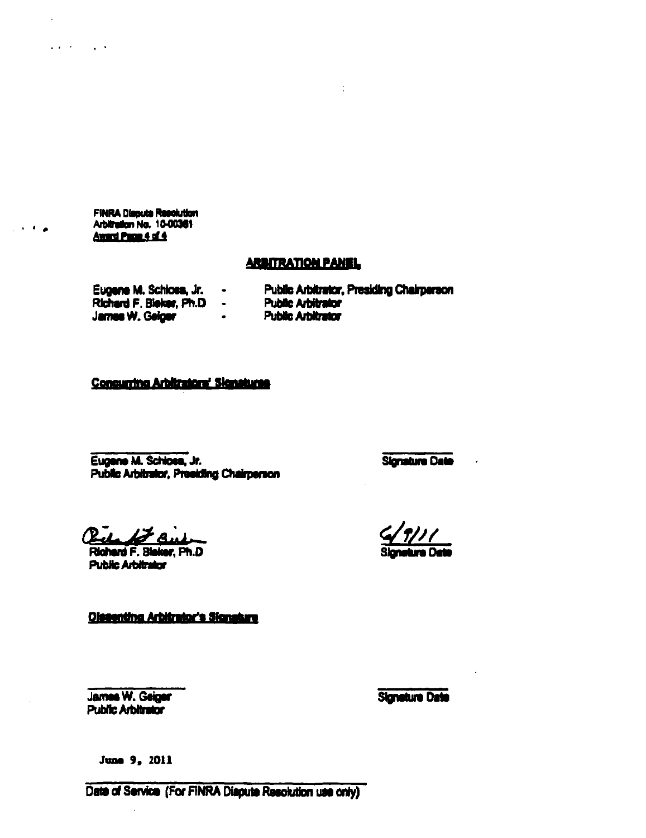FINRA Dispute Resolution<br>Arbitration No. 10-00361 Award Page 4 of 4

 $\ddot{\phantom{a}}$ 

 $\sim 100$ 

 $\omega$  and  $\omega$  is  $\omega$  .  $\omega$ 

#### **ARBITRATION PANEL**

Eugene M. Schloss, Jr.  $\bullet$ Richard F. Bleker, Ph.D -**James W. Geiger**  $\sim$   $\sim$ 

Public Arbitrator, Presiding Chairperson

÷

**Public Arbitrator** 

- 
- **Public Arbitrator**

## Consurring Arbitrators' Signatures

Eugene M. Schlose, Jr. Public Arbitrator, Presiding Chairperson **Signature Date** 

 $\sim$   $\sim$ 

 $R_L$   $L$ *FR* 

Richard F. Bleker, Ph.D. **Public Arbitrator** 

**Olssenting Arbitrator's Signature** 

James W. Geiger **Public Arbitrator** 

**Signature Date** 

June 9, 2011

Date of Service (For FINRA Diapute Resolution use only)